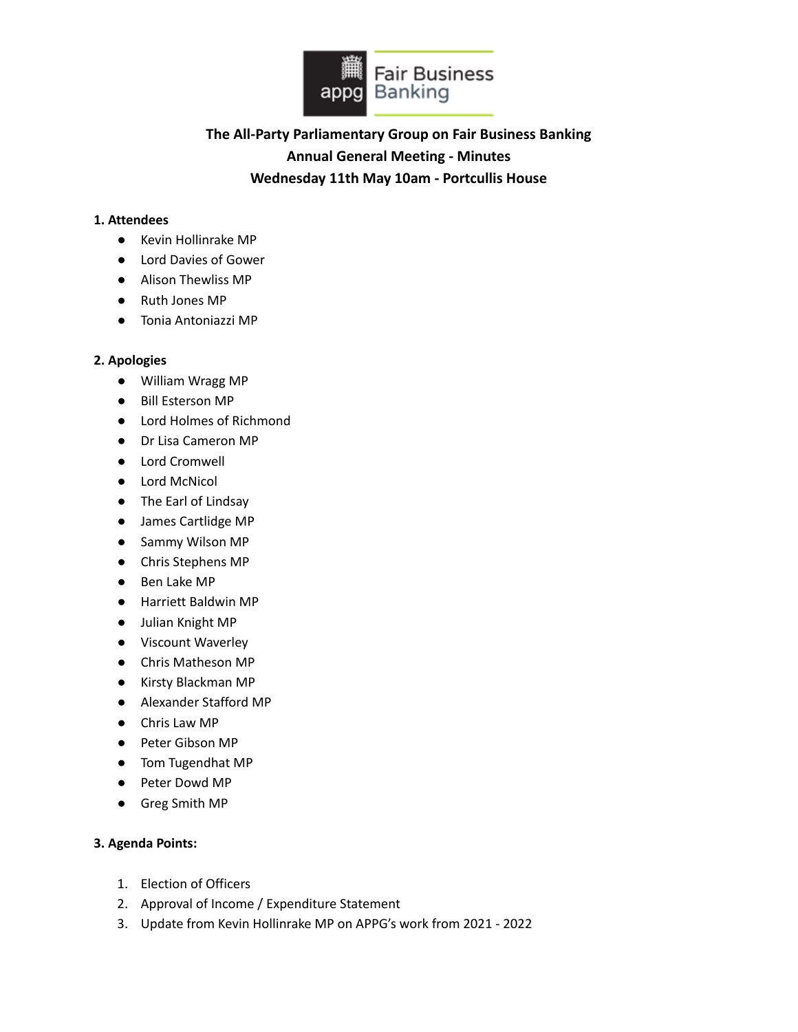

# **The All-Party Parliamentary Group on Fair Business Banking Annual General Meeting - Minutes Wednesday 11th May 10am - Portcullis House**

#### **1. Attendees**

- Kevin Hollinrake MP
- Lord Davies of Gower
- Alison Thewliss MP
- Ruth Jones MP
- Tonia Antoniazzi MP

#### **2. Apologies**

- William Wragg MP
- Bill Esterson MP
- Lord Holmes of Richmond
- Dr Lisa Cameron MP
- Lord Cromwell
- Lord McNicol
- The Earl of Lindsay
- James Cartlidge MP
- Sammy Wilson MP
- Chris Stephens MP
- Ben Lake MP
- Harriett Baldwin MP
- Julian Knight MP
- Viscount Waverley
- Chris Matheson MP
- Kirsty Blackman MP
- Alexander Stafford MP
- Chris Law MP
- Peter Gibson MP
- Tom Tugendhat MP
- Peter Dowd MP
- Greg Smith MP

#### **3. Agenda Points:**

- 1. Election of Officers
- 2. Approval of Income / Expenditure Statement
- 3. Update from Kevin Hollinrake MP on APPG's work from 2021 2022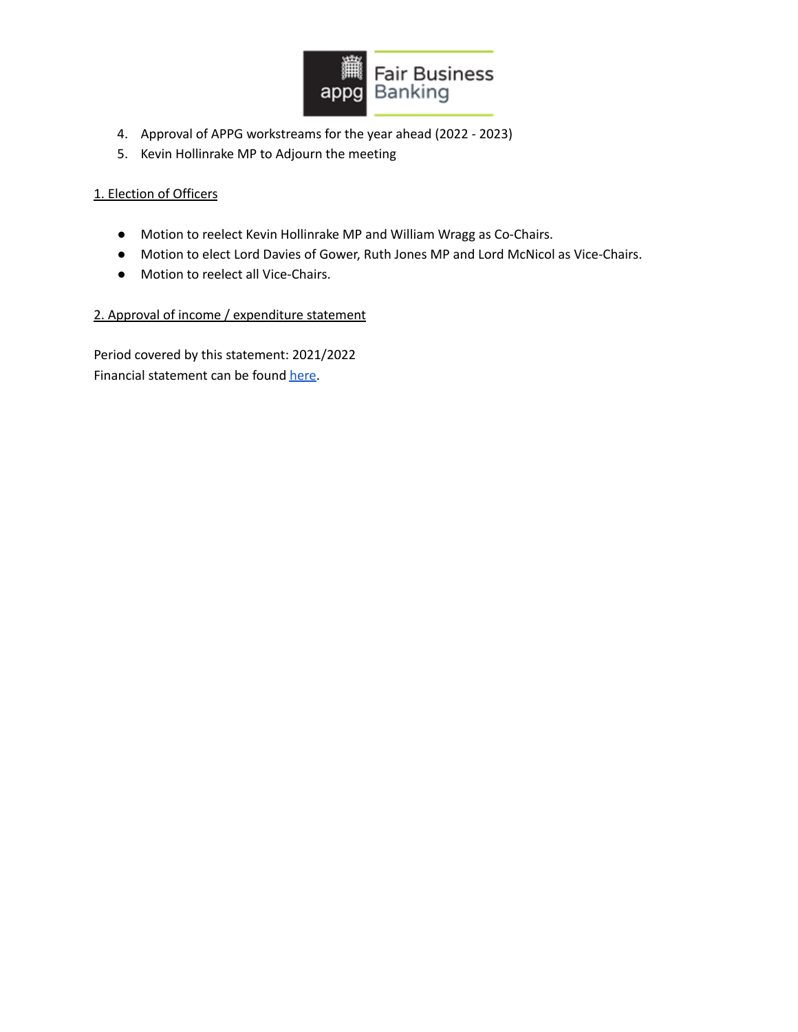

- 4. Approval of APPG workstreams for the year ahead (2022 2023)
- 5. Kevin Hollinrake MP to Adjourn the meeting

### 1. Election of Officers

- Motion to reelect Kevin Hollinrake MP and William Wragg as Co-Chairs.
- Motion to elect Lord Davies of Gower, Ruth Jones MP and Lord McNicol as Vice-Chairs.
- Motion to reelect all Vice-Chairs.

## 2. Approval of income / expenditure statement

Period covered by this statement: 2021/2022 Financial statement can be found [here.](https://www.appgbanking.org.uk/wp-content/uploads/2022/05/Financial-Statement-2021-22-FINAL-2.pdf)